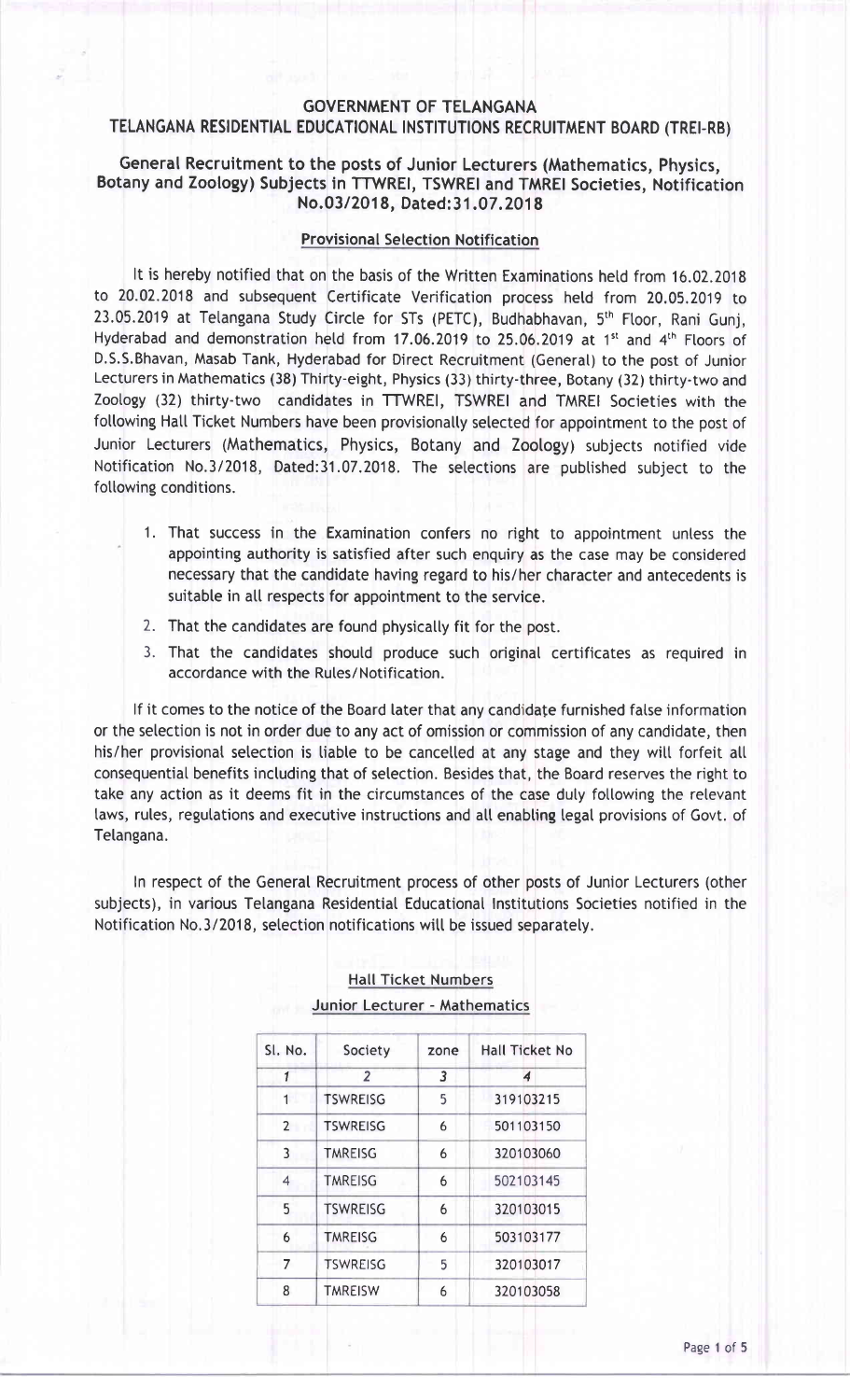#### GOVERNMENT OF TELANGANA TELANGANA RESIDENTIAL EDUCATIONAL INSTITUTIONS RECRUITMENT BOARD (TREI-RB)

#### General Recruitment to the posts of Junior Lecturers (Mathematics, Physics, Botany and Zoology) Subjects in TTWREI, TSWREI and TMRE! Societies, Notification No.03/2018, Dated: 31.07.2018

#### Provisional Selection Notification

It is hereby notified that on the basis of the Written Examinations hetd from 16.02.2018 to 20.02.2018 and subsequent Certificate Verification process hetd from 20.05.2019 to 23.05.2019 at Telangana Study Circle for STs (PETC), Budhabhavan, 5<sup>th</sup> Floor, Rani Gunj, Hyderabad and demonstration held from 17.06.2019 to 25.06.2019 at 1<sup>st</sup> and 4<sup>th</sup> Floors of D.S.S.Bhavan, Masab Tank, Hyderabad for Direct Recruitment (Generat) to the post of Junior Lecturers in Mathematics (38) Thirty-eight, Physics (33) thirty-three, Botany (32) thirty-two and Zoology (32) thirty-two candidates in TTWREI, TSWREI and TMREI Societies with the following Hall Ticket Numbers have been provisionally selected for appointment to the post of Junior Lecturers (Mathematics, Physics, Botany and Zoology) subjects notified vide Notification No.3/2018, Dated:31.07.2018. The setections are pubtished subject to the following conditions.

- 1. That success in the Examination confers no right to appointment untess the appointing authority is satisfied after such enquiry as the case may be considered necessary that the candidate having regard to his/her character and antecedents is suitable in all respects for appointment to the service.
- 2. That the candidates are found physically fit for the post.
- 3. That the candidates should produce such original certificates as required in accordance with the Rutes/Notification.

lf it comes to the notice of the Board later that any candidate furnished fatse information or the setection is not in order due to any act of omission or commission of any candidate, then his/her provisional selection is liable to be cancelled at any stage and they will forfeit all consequential benefits including that of selection. Besides that, the Board reserves the right to take any action as it deems fit in the circumstances of the case duly following the relevant laws, rules, regulations and executive instructions and all enabling legal provisions of Govt. of Tetangana.

ln respect of the General Recruitment process of other posts of Junior Lecturers (other subjects), in various Telangana Residential Educational lnstitutions Societies notified in the Notification No.3/2018, setection notifications witt be issued separately.

| SI. No.        | Society         | zone | <b>Hall Ticket No</b> |
|----------------|-----------------|------|-----------------------|
| 1              | $\overline{2}$  | 3    | 4                     |
| 1              | <b>TSWREISG</b> | 5    | 319103215             |
| $\overline{2}$ | <b>TSWREISG</b> | 6    | 501103150             |
| 3              | <b>TMREISG</b>  | 6    | 320103060             |
| 4              | <b>TMREISG</b>  | 6    | 502103145             |
| 5              | <b>TSWREISG</b> | 6    | 320103015             |
| 6              | <b>TMREISG</b>  | 6    | 503103177             |
| 7              | <b>TSWREISG</b> | 5    | 320103017             |
| 8              | <b>TMREISW</b>  | 6    | 320103058             |

### Hatl Ticket Numbers Junior Lecturer - Mathematics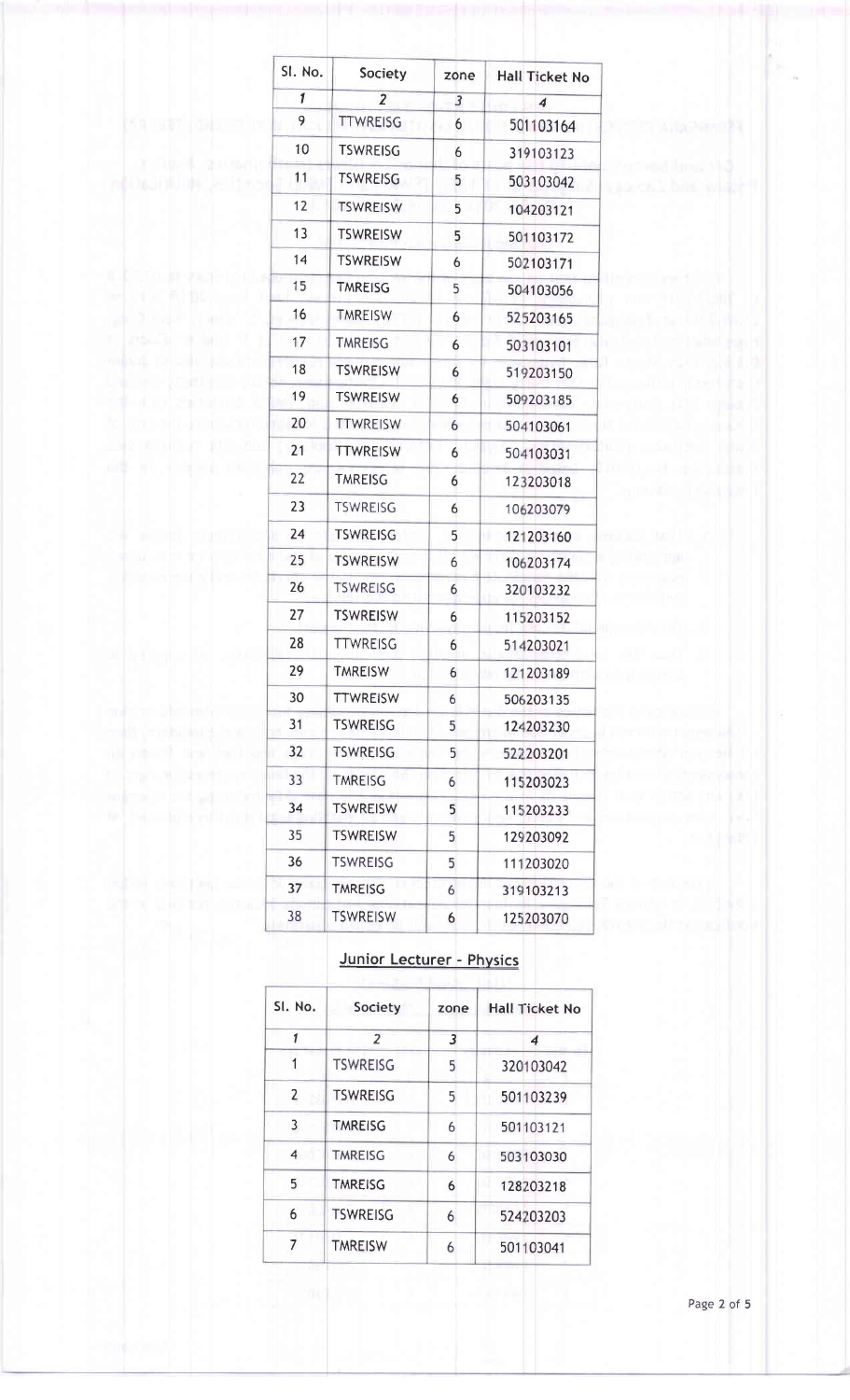| SI. No.                                            | Society         | zone           | <b>Hall Ticket No</b> |
|----------------------------------------------------|-----------------|----------------|-----------------------|
| $\mathbf{1}$                                       | $\overline{2}$  | $\overline{3}$ | $\overline{\bf{4}}$   |
| 9                                                  | <b>TTWREISG</b> | 6              | 501103164             |
| 10                                                 | <b>TSWREISG</b> | 6              | 319103123             |
| 11                                                 | <b>TSWREISG</b> | 5              | 503103042             |
| 12                                                 | <b>TSWREISW</b> | 5              | 104203121             |
| 13                                                 | <b>TSWREISW</b> | 5              | 501103172             |
| 14                                                 | <b>TSWREISW</b> | 6              | 502103171             |
| 15                                                 | <b>TMREISG</b>  | 5              | 504103056             |
| 16                                                 | <b>TMREISW</b>  | 6              | 525203165             |
| Ţ.<br>17                                           | <b>TMREISG</b>  | 6              | 503103101             |
| 18                                                 | <b>TSWREISW</b> | 6              | 519203150             |
| 19                                                 | <b>TSWREISW</b> | 6              | 509203185             |
| 20                                                 | <b>TTWREISW</b> | 6              | 504103061<br>u        |
| 21                                                 | <b>TTWREISW</b> | 6              | 504103031             |
| 22                                                 | <b>TMREISG</b>  | 6              | 123203018             |
| 23                                                 | <b>TSWREISG</b> | 6              | 106203079             |
| 24                                                 | <b>TSWREISG</b> | 5              | 121203160<br>Iű.      |
| 25                                                 | <b>TSWREISW</b> | 6              | 106203174             |
| 26                                                 | <b>TSWREISG</b> | 6              | 320103232             |
| 27                                                 | <b>TSWREISW</b> | 6              | 115203152             |
| 28                                                 | <b>TTWREISG</b> | 6              | 514203021             |
| 29                                                 | <b>TMREISW</b>  | 6              | 121203189             |
| 30                                                 | <b>TTWREISW</b> | 6              | 506203135             |
| 31                                                 | <b>TSWREISG</b> | 5              | 124203230             |
| 32<br><b>The Committee of Committee</b>            | <b>TSWREISG</b> | 5              | 522203201             |
| man the documents<br>ш<br>33                       | <b>TMREISG</b>  | 6              | 115203023             |
| al bitad com<br>34<br><b>Manufacturer</b> Inc., by | <b>TSWREISW</b> | 5              | 115203233             |
| 35                                                 | <b>TSWREISW</b> | 5              | 129203092             |
| 36                                                 | <b>TSWREISG</b> | 5              | 111203020             |
| 37                                                 | <b>TMREISG</b>  | 6              | 319103213             |
| 38                                                 | <b>TSWREISW</b> | 6              | 125203070             |

#### Junior Lecturer - Physics

| SI. No.        | Society         | zone | <b>Hall Ticket No</b> |
|----------------|-----------------|------|-----------------------|
| 1              | $\overline{z}$  | 3    | 4                     |
| 1              | <b>TSWREISG</b> | 5    | 320103042             |
| $\overline{2}$ | <b>TSWREISG</b> | 5    | 501103239             |
| 3              | <b>TMREISG</b>  | 6    | 501103121             |
| 4              | <b>TMREISG</b>  | 6    | 503103030             |
| 5              | <b>TMREISG</b>  | 6    | 128203218             |
| 6              | <b>TSWREISG</b> | 6    | 524203203             |
| 7              | <b>TMREISW</b>  | 6    | 501103041             |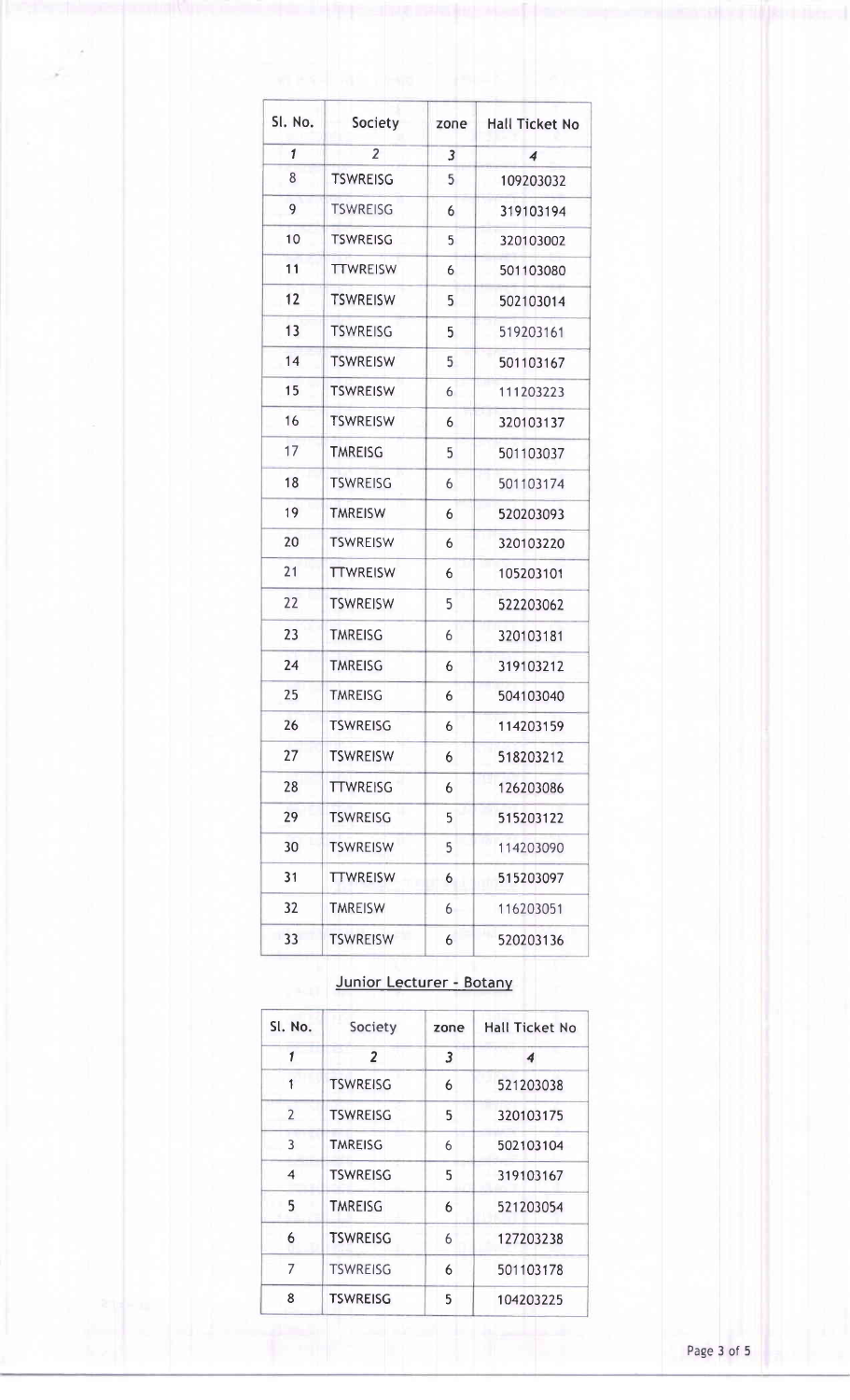| SI. No.      | Society         | zone | <b>Hall Ticket No</b> |
|--------------|-----------------|------|-----------------------|
| $\mathbf{1}$ | $\overline{2}$  | 3    | 4                     |
| 8            | <b>TSWREISG</b> | 5    | 109203032             |
| 9            | <b>TSWREISG</b> | 6    | 319103194             |
| 10           | <b>TSWREISG</b> | 5    | 320103002             |
| 11           | <b>TTWREISW</b> | 6    | 501103080             |
| 12           | <b>TSWREISW</b> | 5    | 502103014             |
| 13           | <b>TSWREISG</b> | 5    | 519203161             |
| 14           | <b>TSWREISW</b> | 5    | 501103167             |
| 15           | <b>TSWREISW</b> | 6    | 111203223             |
| 16           | <b>TSWREISW</b> | 6    | 320103137             |
| 17           | <b>TMREISG</b>  | 5    | 501103037             |
| 18           | <b>TSWREISG</b> | 6    | 501103174             |
| 19           | <b>TMREISW</b>  | 6    | 520203093             |
| 20           | <b>TSWREISW</b> | 6    | 320103220             |
| 21           | <b>TTWREISW</b> | 6    | 105203101             |
| 22           | <b>TSWREISW</b> | 5    | 522203062             |
| 23           | <b>TMREISG</b>  | 6    | 320103181             |
| 24           | <b>TMREISG</b>  | 6    | 319103212             |
| 25           | <b>TMREISG</b>  | 6    | 504103040             |
| 26           | <b>TSWREISG</b> | 6    | 114203159             |
| 27           | <b>TSWREISW</b> | 6    | 518203212             |
| 28           | <b>TTWREISG</b> | 6    | 126203086             |
| 29           | <b>TSWREISG</b> | 5    | 515203122             |
| 30           | <b>TSWREISW</b> | 5    | 114203090             |
| 31           | <b>TTWREISW</b> | 6    | 515203097             |
| 32           | <b>TMREISW</b>  | 6    | 116203051             |
| 33           | <b>TSWREISW</b> | 6    | 520203136             |

## Junior Lecturer - Botany

| SI. No.        | Society         | zone | <b>Hall Ticket No</b> |
|----------------|-----------------|------|-----------------------|
| 1              | $\overline{2}$  | 3    | 4                     |
| 1              | <b>TSWREISG</b> | 6    | 521203038             |
| $\overline{2}$ | <b>TSWREISG</b> | 5    | 320103175             |
| 3              | <b>TMREISG</b>  | 6    | 502103104             |
| 4              | <b>TSWREISG</b> | 5    | 319103167             |
| 5              | <b>TMREISG</b>  | 6    | 521203054             |
| 6              | <b>TSWREISG</b> | 6    | 127203238             |
| 7              | <b>TSWREISG</b> | 6    | 501103178             |
| 8              | <b>TSWREISG</b> | 5    | 104203225             |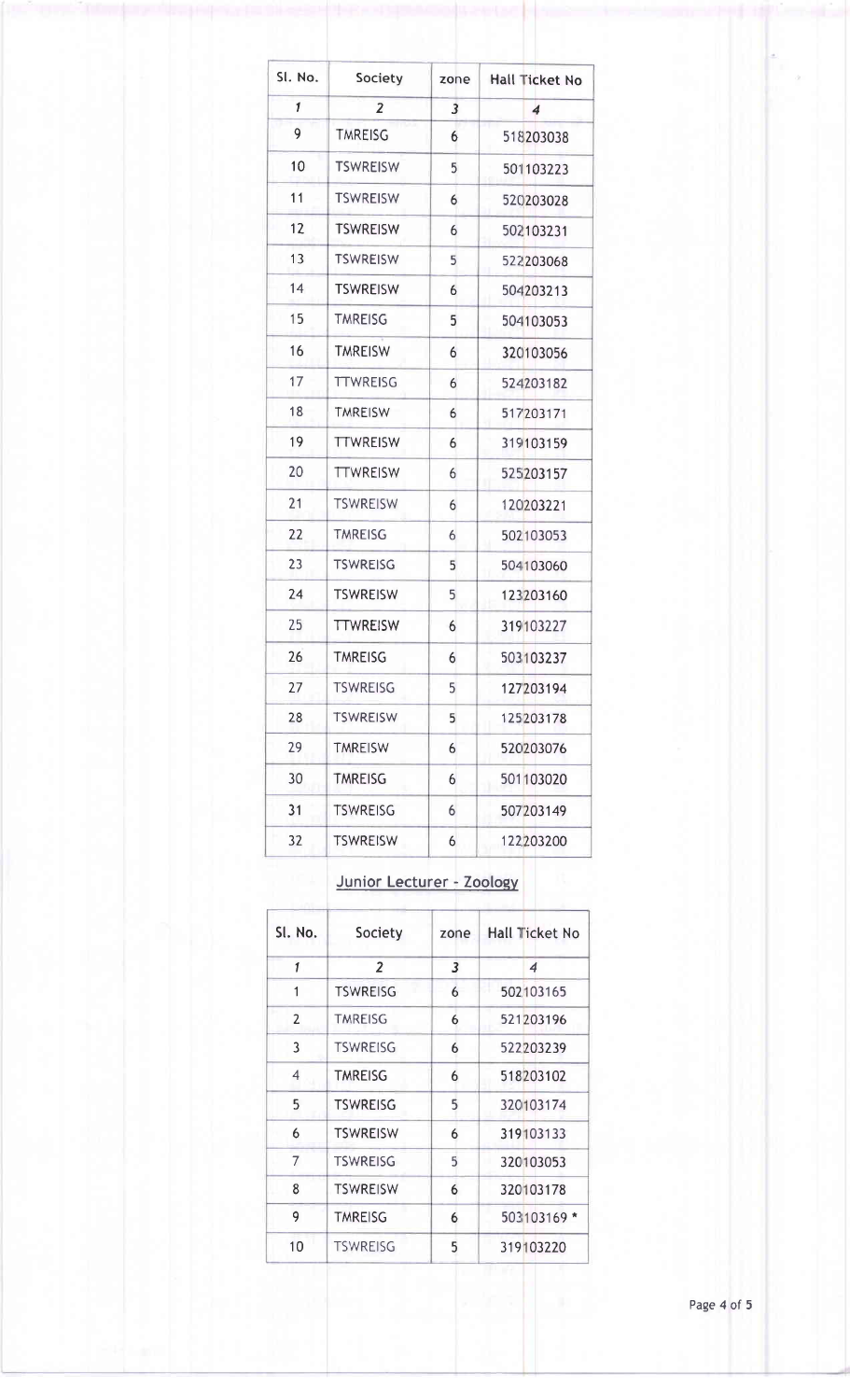| SI. No.      | Society         | zone           | <b>Hall Ticket No</b> |
|--------------|-----------------|----------------|-----------------------|
| $\mathbf{1}$ | $\overline{2}$  | $\overline{3}$ | $\overline{\bf{4}}$   |
| 9            | <b>TMREISG</b>  | 6              | 518203038             |
| 10           | <b>TSWREISW</b> | 5              | 501103223             |
| 11           | <b>TSWREISW</b> | 6              | 520203028             |
| 12           | <b>TSWREISW</b> | 6              | 502103231             |
| 13           | <b>TSWREISW</b> | 5              | 522203068             |
| 14           | <b>TSWREISW</b> | 6              | 504203213             |
| 15           | <b>TMREISG</b>  | 5              | 504103053             |
| 16           | <b>TMREISW</b>  | 6              | 320103056             |
| 17           | <b>TTWREISG</b> | 6              | 524203182             |
| 18           | <b>TMREISW</b>  | 6              | 517203171             |
| 19           | <b>TTWREISW</b> | 6              | 319103159             |
| 20           | <b>TTWREISW</b> | 6              | 525203157             |
| 21           | <b>TSWREISW</b> | 6              | 120203221             |
| 22           | <b>TMREISG</b>  | 6              | 502103053             |
| 23           | <b>TSWREISG</b> | 5              | 504103060             |
| 24           | <b>TSWREISW</b> | 5              | 123203160             |
| 25           | <b>TTWREISW</b> | 6              | 319103227             |
| 26           | <b>TMREISG</b>  | 6              | 503103237             |
| 27           | <b>TSWREISG</b> | 5              | 127203194             |
| 28           | <b>TSWREISW</b> | 5              | 125203178             |
| 29           | <b>TMREISW</b>  | 6              | 520203076             |
| 30           | <b>TMREISG</b>  | 6              | 501103020             |
| 31           | <b>TSWREISG</b> | 6              | 507203149             |
| 32           | <b>TSWREISW</b> | 6              | 122203200             |

# Junior Lecturer - Zooloqv

| SI. No.        | Society                 | zone | <b>Hall Ticket No</b>      |
|----------------|-------------------------|------|----------------------------|
| 1              | $\overline{\mathbf{z}}$ | 3    | $\boldsymbol{\mathcal{A}}$ |
| 1              | <b>TSWREISG</b>         | 6    | 502103165                  |
| $\overline{2}$ | <b>TMREISG</b>          | 6    | 521203196                  |
| 3              | <b>TSWREISG</b>         | 6    | 522203239                  |
| 4              | <b>TMREISG</b>          | 6    | 518203102                  |
| 5              | <b>TSWREISG</b>         | 5    | 320103174                  |
| 6              | <b>TSWREISW</b>         | 6    | 319103133                  |
| 7              | <b>TSWREISG</b>         | 5    | 320103053                  |
| 8              | <b>TSWREISW</b>         | 6    | 320103178                  |
| 9              | <b>TMREISG</b>          | 6    | 503103169 *                |
| 10             | <b>TSWREISG</b>         | 5    | 319103220                  |
|                |                         |      |                            |